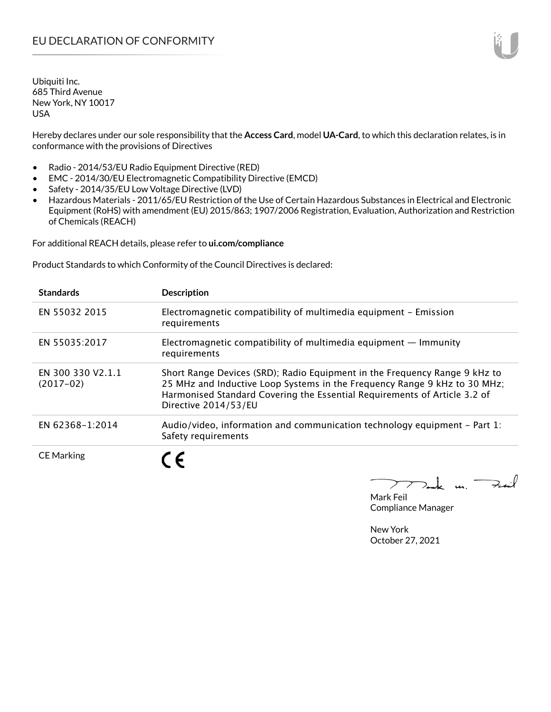Hereby declares under our sole responsibility that the **Access Card**, model **UA-Card**, to which this declaration relates, is in conformance with the provisions of Directives

- Radio 2014/53/EU Radio Equipment Directive (RED)
- EMC 2014/30/EU Electromagnetic Compatibility Directive (EMCD)
- Safety 2014/35/EU Low Voltage Directive (LVD)
- Hazardous Materials 2011/65/EU Restriction of the Use of Certain Hazardous Substances in Electrical and Electronic Equipment (RoHS) with amendment (EU) 2015/863; 1907/2006 Registration, Evaluation, Authorization and Restriction of Chemicals (REACH)

For additional REACH details, please refer to **ui.com/compliance**

Product Standards to which Conformity of the Council Directives is declared:

| <b>Standards</b>                 | <b>Description</b>                                                                                                                                                                                                                                           |
|----------------------------------|--------------------------------------------------------------------------------------------------------------------------------------------------------------------------------------------------------------------------------------------------------------|
| EN 55032 2015                    | Electromagnetic compatibility of multimedia equipment - Emission<br>requirements                                                                                                                                                                             |
| EN 55035:2017                    | Electromagnetic compatibility of multimedia equipment $-$ Immunity<br>requirements                                                                                                                                                                           |
| EN 300 330 V2.1.1<br>$(2017-02)$ | Short Range Devices (SRD); Radio Equipment in the Frequency Range 9 kHz to<br>25 MHz and Inductive Loop Systems in the Frequency Range 9 kHz to 30 MHz;<br>Harmonised Standard Covering the Essential Requirements of Article 3.2 of<br>Directive 2014/53/EU |
| EN 62368-1:2014                  | Audio/video, information and communication technology equipment – Part 1:<br>Safety requirements                                                                                                                                                             |
| <b>CE Marking</b>                | 7 F                                                                                                                                                                                                                                                          |

Tak un Fail

Mark Feil Compliance Manager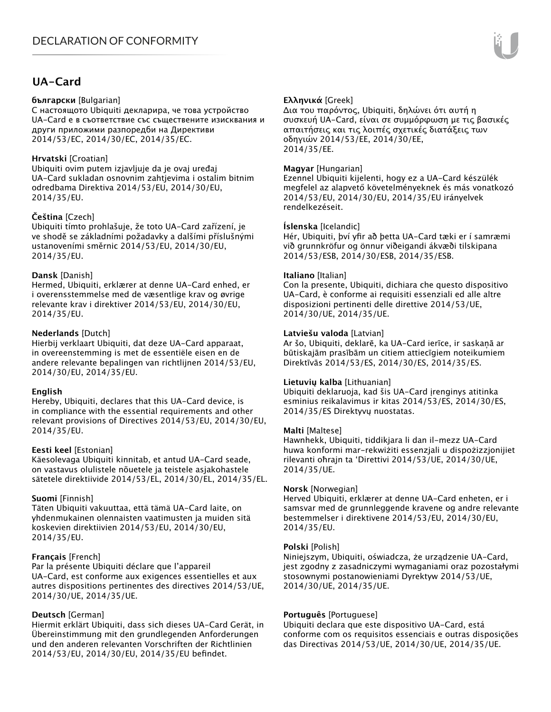# **UA-Card**

#### **български** [Bulgarian]

С настоящото Ubiquiti декларира, че това устройство UA-Card е в съответствие със съществените изисквания и други приложими разпоредби на Директиви 2014/53/EC, 2014/30/ЕС, 2014/35/ЕС.

#### **Hrvatski** [Croatian]

Ubiquiti ovim putem izjavljuje da je ovaj uređaj UA-Card sukladan osnovnim zahtjevima i ostalim bitnim odredbama Direktiva 2014/53/EU, 2014/30/EU, 2014/35/EU.

### **Čeština** [Czech]

Ubiquiti tímto prohlašuje, že toto UA-Card zařízení, je ve shodě se základními požadavky a dalšími příslušnými ustanoveními směrnic 2014/53/EU, 2014/30/EU, 2014/35/EU.

#### **Dansk** [Danish]

Hermed, Ubiquiti, erklærer at denne UA-Card enhed, er i overensstemmelse med de væsentlige krav og øvrige relevante krav i direktiver 2014/53/EU, 2014/30/EU, 2014/35/EU.

### **Nederlands** [Dutch]

Hierbij verklaart Ubiquiti, dat deze UA-Card apparaat, in overeenstemming is met de essentiële eisen en de andere relevante bepalingen van richtlijnen 2014/53/EU, 2014/30/EU, 2014/35/EU.

#### **English**

Hereby, Ubiquiti, declares that this UA-Card device, is in compliance with the essential requirements and other relevant provisions of Directives 2014/53/EU, 2014/30/EU, 2014/35/EU.

#### **Eesti keel** [Estonian]

Käesolevaga Ubiquiti kinnitab, et antud UA-Card seade, on vastavus olulistele nõuetele ja teistele asjakohastele sätetele direktiivide 2014/53/EL, 2014/30/EL, 2014/35/EL.

#### **Suomi** [Finnish]

Täten Ubiquiti vakuuttaa, että tämä UA-Card laite, on yhdenmukainen olennaisten vaatimusten ja muiden sitä koskevien direktiivien 2014/53/EU, 2014/30/EU, 2014/35/EU.

## **Français** [French]

Par la présente Ubiquiti déclare que l'appareil UA-Card, est conforme aux exigences essentielles et aux autres dispositions pertinentes des directives 2014/53/UE, 2014/30/UE, 2014/35/UE.

## **Deutsch** [German]

Hiermit erklärt Ubiquiti, dass sich dieses UA-Card Gerät, in Übereinstimmung mit den grundlegenden Anforderungen und den anderen relevanten Vorschriften der Richtlinien 2014/53/EU, 2014/30/EU, 2014/35/EU befindet.

## **Ελληνικά** [Greek]

Δια του παρόντος, Ubiquiti, δηλώνει ότι αυτή η συσκευή UA-Card, είναι σε συμμόρφωση με τις βασικές απαιτήσεις και τις λοιπές σχετικές διατάξεις των οδηγιών 2014/53/EE, 2014/30/EE, 2014/35/EE.

### **Magyar** [Hungarian]

Ezennel Ubiquiti kijelenti, hogy ez a UA-Card készülék megfelel az alapvető követelményeknek és más vonatkozó 2014/53/EU, 2014/30/EU, 2014/35/EU irányelvek rendelkezéseit.

#### **Íslenska** [Icelandic]

Hér, Ubiquiti, því yfir að þetta UA-Card tæki er í samræmi við grunnkröfur og önnur viðeigandi ákvæði tilskipana 2014/53/ESB, 2014/30/ESB, 2014/35/ESB.

#### **Italiano** [Italian]

Con la presente, Ubiquiti, dichiara che questo dispositivo UA-Card, è conforme ai requisiti essenziali ed alle altre disposizioni pertinenti delle direttive 2014/53/UE, 2014/30/UE, 2014/35/UE.

#### **Latviešu valoda** [Latvian]

Ar šo, Ubiquiti, deklarē, ka UA-Card ierīce, ir saskaņā ar būtiskajām prasībām un citiem attiecīgiem noteikumiem Direktīvās 2014/53/ES, 2014/30/ES, 2014/35/ES.

#### **Lietuvių kalba** [Lithuanian]

Ubiquiti deklaruoja, kad šis UA-Card įrenginys atitinka esminius reikalavimus ir kitas 2014/53/ES, 2014/30/ES, 2014/35/ES Direktyvų nuostatas.

#### **Malti** [Maltese]

Hawnhekk, Ubiquiti, tiddikjara li dan il-mezz UA-Card huwa konformi mar-rekwiżiti essenzjali u dispożizzjonijiet rilevanti oħrajn ta 'Direttivi 2014/53/UE, 2014/30/UE, 2014/35/UE.

#### **Norsk** [Norwegian]

Herved Ubiquiti, erklærer at denne UA-Card enheten, er i samsvar med de grunnleggende kravene og andre relevante bestemmelser i direktivene 2014/53/EU, 2014/30/EU, 2014/35/EU.

#### **Polski** [Polish]

Niniejszym, Ubiquiti, oświadcza, że urządzenie UA-Card, jest zgodny z zasadniczymi wymaganiami oraz pozostałymi stosownymi postanowieniami Dyrektyw 2014/53/UE, 2014/30/UE, 2014/35/UE.

#### **Português** [Portuguese]

Ubiquiti declara que este dispositivo UA-Card, está conforme com os requisitos essenciais e outras disposições das Directivas 2014/53/UE, 2014/30/UE, 2014/35/UE.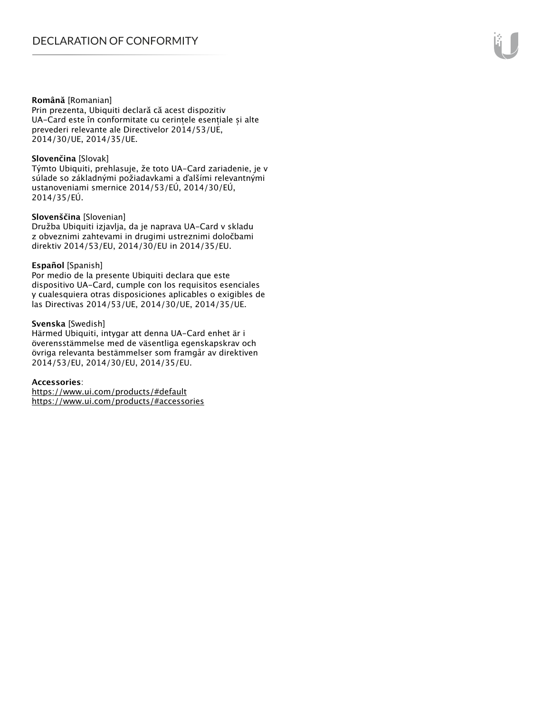#### **Română** [Romanian]

Prin prezenta, Ubiquiti declară că acest dispozitiv UA-Card este în conformitate cu cerințele esențiale și alte prevederi relevante ale Directivelor 2014/53/UE, 2014/30/UE, 2014/35/UE.

#### **Slovenčina** [Slovak]

Týmto Ubiquiti, prehlasuje, že toto UA-Card zariadenie, je v súlade so základnými požiadavkami a ďalšími relevantnými ustanoveniami smernice 2014/53/EÚ, 2014/30/EÚ, 2014/35/EÚ.

#### **Slovenščina** [Slovenian]

Družba Ubiquiti izjavlja, da je naprava UA-Card v skladu z obveznimi zahtevami in drugimi ustreznimi določbami direktiv 2014/53/EU, 2014/30/EU in 2014/35/EU.

#### **Español** [Spanish]

Por medio de la presente Ubiquiti declara que este dispositivo UA-Card, cumple con los requisitos esenciales y cualesquiera otras disposiciones aplicables o exigibles de las Directivas 2014/53/UE, 2014/30/UE, 2014/35/UE.

#### **Svenska** [Swedish]

Härmed Ubiquiti, intygar att denna UA-Card enhet är i överensstämmelse med de väsentliga egenskapskrav och övriga relevanta bestämmelser som framgår av direktiven 2014/53/EU, 2014/30/EU, 2014/35/EU.

#### **Accessories**:

https://www.ui.com/products/#default https://www.ui.com/products/#accessories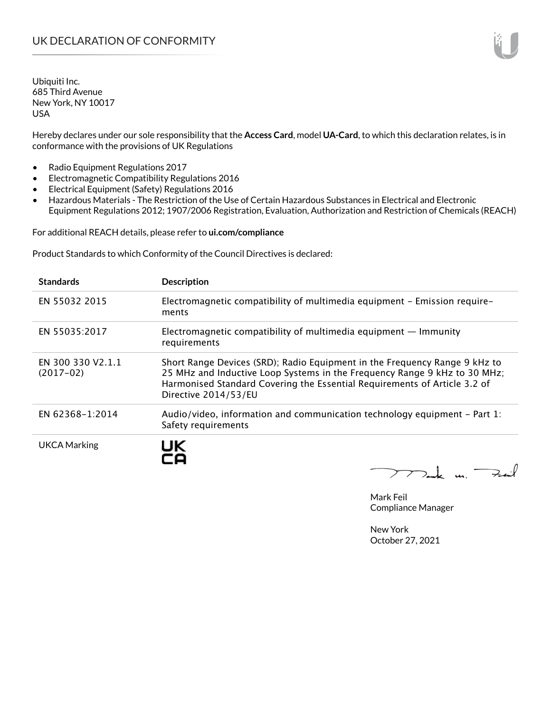Hereby declares under our sole responsibility that the **Access Card**, model **UA-Card**, to which this declaration relates, is in conformance with the provisions of UK Regulations

- Radio Equipment Regulations 2017
- Electromagnetic Compatibility Regulations 2016
- Electrical Equipment (Safety) Regulations 2016
- Hazardous Materials The Restriction of the Use of Certain Hazardous Substances in Electrical and Electronic Equipment Regulations 2012; 1907/2006 Registration, Evaluation, Authorization and Restriction of Chemicals (REACH)

For additional REACH details, please refer to **ui.com/compliance**

Product Standards to which Conformity of the Council Directives is declared:

| <b>Standards</b>                 | <b>Description</b>                                                                                                                                                                                                                                           |
|----------------------------------|--------------------------------------------------------------------------------------------------------------------------------------------------------------------------------------------------------------------------------------------------------------|
| EN 55032 2015                    | Electromagnetic compatibility of multimedia equipment - Emission require-<br>ments                                                                                                                                                                           |
| EN 55035:2017                    | Electromagnetic compatibility of multimedia equipment $-$ Immunity<br>requirements                                                                                                                                                                           |
| EN 300 330 V2.1.1<br>$(2017-02)$ | Short Range Devices (SRD); Radio Equipment in the Frequency Range 9 kHz to<br>25 MHz and Inductive Loop Systems in the Frequency Range 9 kHz to 30 MHz;<br>Harmonised Standard Covering the Essential Requirements of Article 3.2 of<br>Directive 2014/53/EU |
| EN 62368-1:2014                  | Audio/video, information and communication technology equipment - Part 1:<br>Safety requirements                                                                                                                                                             |
| <b>UKCA Marking</b>              | UK                                                                                                                                                                                                                                                           |

 $772$ ck m. Fail

Mark Feil Compliance Manager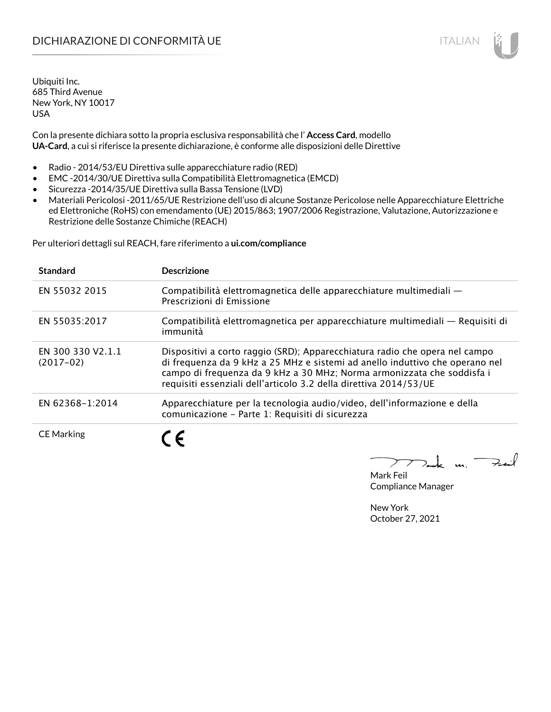# DICHIARAZIONE DI CONFORMITÀ UE ITALIAN ITALIAN

Ubiquiti Inc. 685 Third Avenue New York, NY 10017 USA

Con la presente dichiara sotto la propria esclusiva responsabilità che l' **Access Card**, modello **UA-Card**, a cui si riferisce la presente dichiarazione, è conforme alle disposizioni delle Direttive

- Radio 2014/53/EU Direttiva sulle apparecchiature radio (RED)
- EMC -2014/30/UE Direttiva sulla Compatibilità Elettromagnetica (EMCD)
- Sicurezza -2014/35/UE Direttiva sulla Bassa Tensione (LVD)
- Materiali Pericolosi -2011/65/UE Restrizione dell'uso di alcune Sostanze Pericolose nelle Apparecchiature Elettriche ed Elettroniche (RoHS) con emendamento (UE) 2015/863; 1907/2006 Registrazione, Valutazione, Autorizzazione e Restrizione delle Sostanze Chimiche (REACH)

Per ulteriori dettagli sul REACH, fare riferimento a **ui.com/compliance**

| <b>Standard</b>                  | <b>Descrizione</b>                                                                                                                                                                                                                                                                                         |
|----------------------------------|------------------------------------------------------------------------------------------------------------------------------------------------------------------------------------------------------------------------------------------------------------------------------------------------------------|
| EN 55032 2015                    | Compatibilità elettromagnetica delle apparecchiature multimediali -<br>Prescrizioni di Emissione                                                                                                                                                                                                           |
| EN 55035:2017                    | Compatibilità elettromagnetica per apparecchiature multimediali — Requisiti di<br>immunità                                                                                                                                                                                                                 |
| EN 300 330 V2.1.1<br>$(2017-02)$ | Dispositivi a corto raggio (SRD); Apparecchiatura radio che opera nel campo<br>di frequenza da 9 kHz a 25 MHz e sistemi ad anello induttivo che operano nel<br>campo di frequenza da 9 kHz a 30 MHz; Norma armonizzata che soddisfa i<br>requisiti essenziali dell'articolo 3.2 della direttiva 2014/53/UE |
| EN 62368-1:2014                  | Apparecchiature per la tecnologia audio/video, dell'informazione e della<br>comunicazione - Parte 1: Requisiti di sicurezza                                                                                                                                                                                |
| <b>CE Marking</b>                |                                                                                                                                                                                                                                                                                                            |

Dank m. Fail

Mark Feil Compliance Manager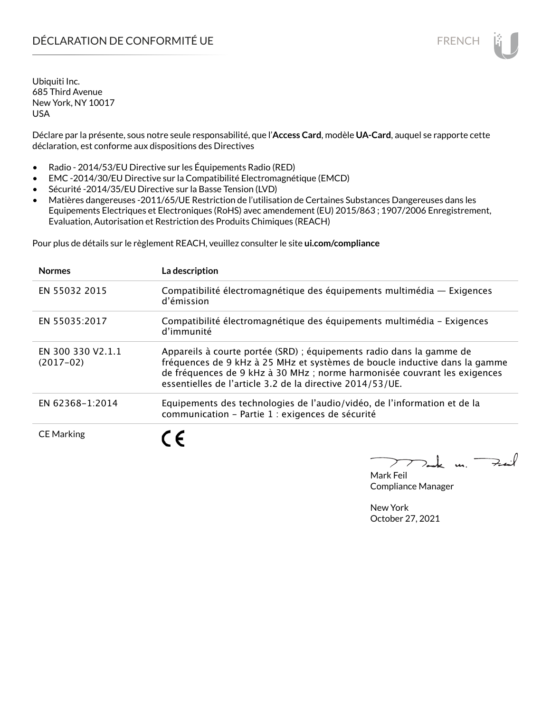Déclare par la présente, sous notre seule responsabilité, que l'**Access Card**, modèle **UA-Card**, auquel se rapporte cette déclaration, est conforme aux dispositions des Directives

- Radio 2014/53/EU Directive sur les Équipements Radio (RED)
- EMC -2014/30/EU Directive sur la Compatibilité Electromagnétique (EMCD)
- Sécurité -2014/35/EU Directive sur la Basse Tension (LVD)
- Matières dangereuses -2011/65/UE Restriction de l'utilisation de Certaines Substances Dangereuses dans les Equipements Electriques et Electroniques (RoHS) avec amendement (EU) 2015/863 ; 1907/2006 Enregistrement, Evaluation, Autorisation et Restriction des Produits Chimiques (REACH)

Pour plus de détails sur le règlement REACH, veuillez consulter le site **ui.com/compliance**

| <b>Normes</b>                    | La description                                                                                                                                                                                                                                                                              |
|----------------------------------|---------------------------------------------------------------------------------------------------------------------------------------------------------------------------------------------------------------------------------------------------------------------------------------------|
| EN 55032 2015                    | Compatibilité électromagnétique des équipements multimédia - Exigences<br>d'émission                                                                                                                                                                                                        |
| EN 55035:2017                    | Compatibilité électromagnétique des équipements multimédia - Exigences<br>d'immunité                                                                                                                                                                                                        |
| EN 300 330 V2.1.1<br>$(2017-02)$ | Appareils à courte portée (SRD) ; équipements radio dans la gamme de<br>fréquences de 9 kHz à 25 MHz et systèmes de boucle inductive dans la gamme<br>de fréquences de 9 kHz à 30 MHz; norme harmonisée couvrant les exigences<br>essentielles de l'article 3.2 de la directive 2014/53/UE. |
| EN 62368-1:2014                  | Equipements des technologies de l'audio/vidéo, de l'information et de la<br>communication - Partie 1 : exigences de sécurité                                                                                                                                                                |
| <b>CE Marking</b>                |                                                                                                                                                                                                                                                                                             |

Tak m. Fail

Mark Feil Compliance Manager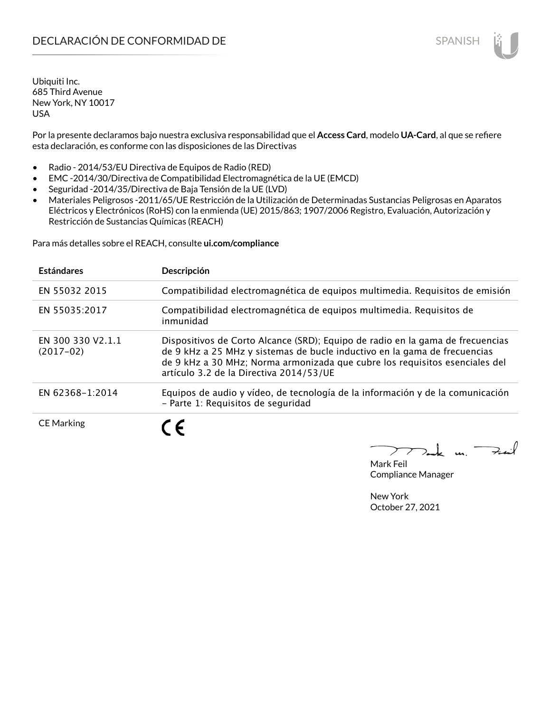Por la presente declaramos bajo nuestra exclusiva responsabilidad que el **Access Card**, modelo **UA-Card**, al que se refiere esta declaración, es conforme con las disposiciones de las Directivas

- Radio 2014/53/EU Directiva de Equipos de Radio (RED)
- EMC -2014/30/Directiva de Compatibilidad Electromagnética de la UE (EMCD)
- Seguridad -2014/35/Directiva de Baja Tensión de la UE (LVD)
- Materiales Peligrosos -2011/65/UE Restricción de la Utilización de Determinadas Sustancias Peligrosas en Aparatos Eléctricos y Electrónicos (RoHS) con la enmienda (UE) 2015/863; 1907/2006 Registro, Evaluación, Autorización y Restricción de Sustancias Químicas (REACH)

Para más detalles sobre el REACH, consulte **ui.com/compliance**

| <b>Estándares</b>                | Descripción                                                                                                                                                                                                                                                                           |
|----------------------------------|---------------------------------------------------------------------------------------------------------------------------------------------------------------------------------------------------------------------------------------------------------------------------------------|
| EN 55032 2015                    | Compatibilidad electromagnética de equipos multimedia. Requisitos de emisión                                                                                                                                                                                                          |
| EN 55035:2017                    | Compatibilidad electromagnética de equipos multimedia. Requisitos de<br>inmunidad                                                                                                                                                                                                     |
| EN 300 330 V2.1.1<br>$(2017-02)$ | Dispositivos de Corto Alcance (SRD); Equipo de radio en la gama de frecuencias<br>de 9 kHz a 25 MHz y sistemas de bucle inductivo en la gama de frecuencias<br>de 9 kHz a 30 MHz; Norma armonizada que cubre los requisitos esenciales del<br>artículo 3.2 de la Directiva 2014/53/UE |
| EN 62368-1:2014                  | Equipos de audio y vídeo, de tecnología de la información y de la comunicación<br>- Parte 1: Requisitos de seguridad                                                                                                                                                                  |
| <b>CE Marking</b>                | C E                                                                                                                                                                                                                                                                                   |

Tak m. Fail

Mark Feil Compliance Manager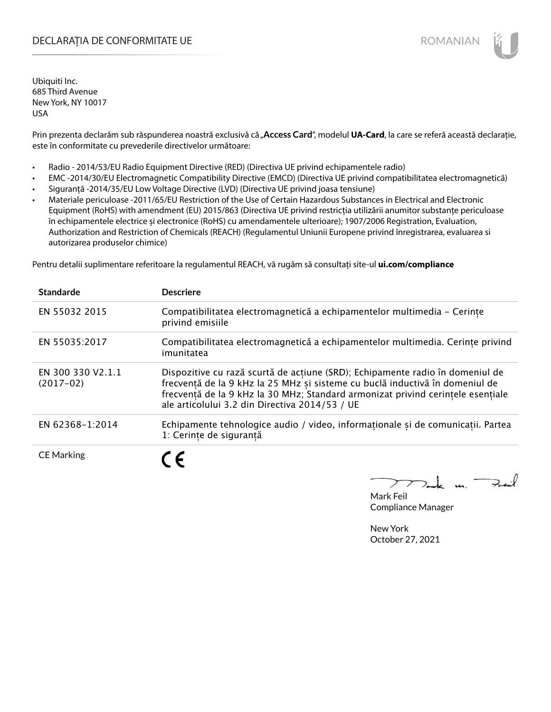## DECLARAȚIA DE CONFORMITATE UE EXECUTE DE ROMANIAN

Ubiquiti Inc. 685 Third Avenue New York, NY 10017 USA

Prin prezenta declarăm sub răspunderea noastră exclusivă că "Access Card", modelul UA-Card, la care se referă această declarație, este în conformitate cu prevederile directivelor următoare:

- Radio 2014/53/EU Radio Equipment Directive (RED) (Directiva UE privind echipamentele radio)
- EMC -2014/30/EU Electromagnetic Compatibility Directive (EMCD) (Directiva UE privind compatibilitatea electromagnetică)
- Siguranță -2014/35/EU Low Voltage Directive (LVD) (Directiva UE privind joasa tensiune)
- Materiale periculoase -2011/65/EU Restriction of the Use of Certain Hazardous Substances in Electrical and Electronic Equipment (RoHS) with amendment (EU) 2015/863 (Directiva UE privind restricția utilizării anumitor substanțe periculoase în echipamentele electrice și electronice (RoHS) cu amendamentele ulterioare); 1907/2006 Registration, Evaluation, Authorization and Restriction of Chemicals (REACH) (Regulamentul Uniunii Europene privind înregistrarea, evaluarea si autorizarea produselor chimice)

Pentru detalii suplimentare referitoare la regulamentul REACH, vă rugăm să consultați site-ul **ui.com/compliance**

| <b>Standarde</b>                 | <b>Descriere</b>                                                                                                                                                                                                                                                                                   |
|----------------------------------|----------------------------------------------------------------------------------------------------------------------------------------------------------------------------------------------------------------------------------------------------------------------------------------------------|
| EN 55032 2015                    | Compatibilitatea electromagnetică a echipamentelor multimedia - Cerinte<br>privind emisiile                                                                                                                                                                                                        |
| EN 55035:2017                    | Compatibilitatea electromagnetică a echipamentelor multimedia. Cerințe privind<br>imunitatea                                                                                                                                                                                                       |
| EN 300 330 V2.1.1<br>$(2017-02)$ | Dispozitive cu rază scurtă de acțiune (SRD); Echipamente radio în domeniul de<br>frecvență de la 9 kHz la 25 MHz și sisteme cu buclă inductivă în domeniul de<br>frecvență de la 9 kHz la 30 MHz; Standard armonizat privind cerințele esențiale<br>ale articolului 3.2 din Directiva 2014/53 / UE |
| EN 62368-1:2014                  | Echipamente tehnologice audio / video, informaționale și de comunicații. Partea<br>1: Cerinte de sigurantă                                                                                                                                                                                         |
| <b>CE Marking</b>                | C F                                                                                                                                                                                                                                                                                                |

k m. Fail

Mark Feil Compliance Manager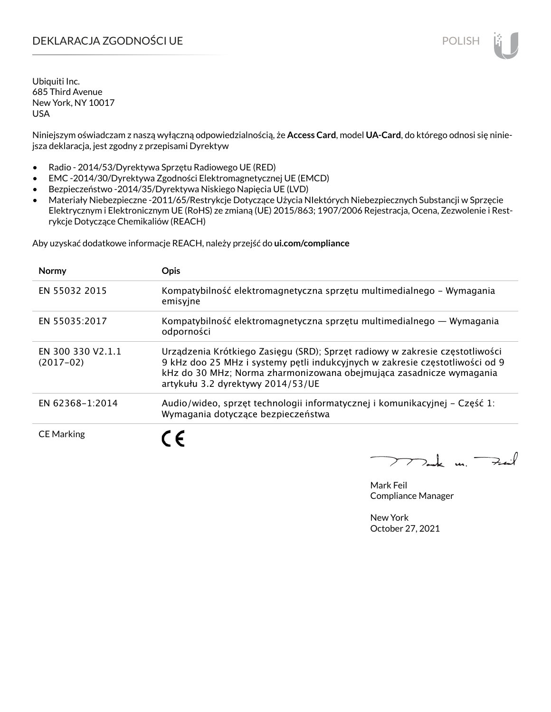# DEKLARACJA ZGODNOŚCI UE POLISH POLISH

Ubiquiti Inc. 685 Third Avenue New York, NY 10017 USA

Niniejszym oświadczam z naszą wyłączną odpowiedzialnością, że **Access Card**, model **UA-Card**, do którego odnosi się niniejsza deklaracja, jest zgodny z przepisami Dyrektyw

- Radio 2014/53/Dyrektywa Sprzętu Radiowego UE (RED)
- EMC -2014/30/Dyrektywa Zgodności Elektromagnetycznej UE (EMCD)
- Bezpieczeństwo -2014/35/Dyrektywa Niskiego Napięcia UE (LVD)
- Materiały Niebezpieczne -2011/65/Restrykcje Dotyczące Użycia NIektórych Niebezpiecznych Substancji w Sprzęcie Elektrycznym i Elektronicznym UE (RoHS) ze zmianą (UE) 2015/863; 1907/2006 Rejestracja, Ocena, Zezwolenie i Restrykcje Dotyczące Chemikaliów (REACH)

Aby uzyskać dodatkowe informacje REACH, należy przejść do **ui.com/compliance**

| <b>Normy</b>                     | <b>Opis</b>                                                                                                                                                                                                                                                              |
|----------------------------------|--------------------------------------------------------------------------------------------------------------------------------------------------------------------------------------------------------------------------------------------------------------------------|
| EN 55032 2015                    | Kompatybilność elektromagnetyczna sprzętu multimedialnego – Wymagania<br>emisyjne                                                                                                                                                                                        |
| EN 55035:2017                    | Kompatybilność elektromagnetyczna sprzętu multimedialnego — Wymagania<br>odporności                                                                                                                                                                                      |
| EN 300 330 V2.1.1<br>$(2017-02)$ | Urządzenia Krótkiego Zasięgu (SRD); Sprzęt radiowy w zakresie częstotliwości<br>9 kHz doo 25 MHz i systemy pętli indukcyjnych w zakresie częstotliwości od 9<br>kHz do 30 MHz; Norma zharmonizowana obejmująca zasadnicze wymagania<br>artykułu 3.2 dyrektywy 2014/53/UE |
| EN 62368-1:2014                  | Audio/wideo, sprzęt technologii informatycznej i komunikacyjnej – Część 1:<br>Wymagania dotyczące bezpieczeństwa                                                                                                                                                         |
| <b>CE Marking</b>                |                                                                                                                                                                                                                                                                          |

 $772$ ak m. Fail

Mark Feil Compliance Manager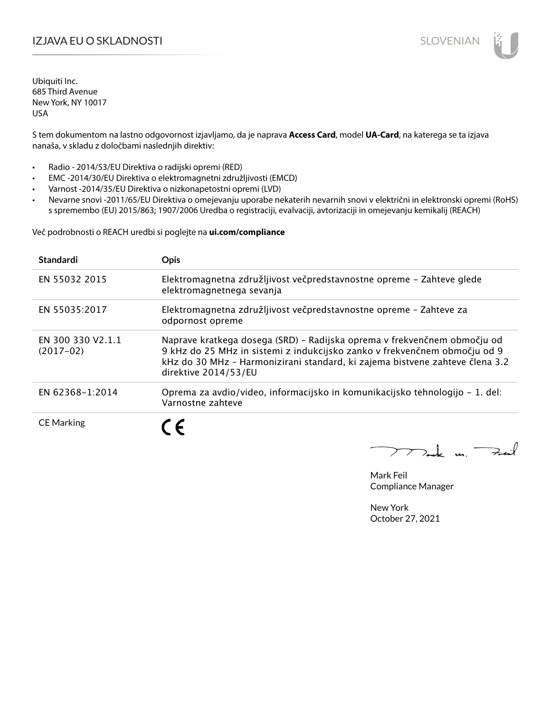# IZJAVA EU O SKLADNOSTI SLOVENIAN

Ubiquiti Inc. 685 Third Avenue New York, NY 10017 USA

S tem dokumentom na lastno odgovornost izjavljamo, da je naprava **Access Card**, model **UA-Card**, na katerega se ta izjava nanaša, v skladu z določbami naslednjih direktiv:

- Radio 2014/53/EU Direktiva o radijski opremi (RED)
- EMC -2014/30/EU Direktiva o elektromagnetni združljivosti (EMCD)
- Varnost -2014/35/EU Direktiva o nizkonapetostni opremi (LVD)
- Nevarne snovi -2011/65/EU Direktiva o omejevanju uporabe nekaterih nevarnih snovi v električni in elektronski opremi (RoHS) s spremembo (EU) 2015/863; 1907/2006 Uredba o registraciji, evalvaciji, avtorizaciji in omejevanju kemikalij (REACH)

Več podrobnosti o REACH uredbi si poglejte na **ui.com/compliance**

| <b>Standardi</b>                 | <b>Opis</b>                                                                                                                                                                                                                                                   |
|----------------------------------|---------------------------------------------------------------------------------------------------------------------------------------------------------------------------------------------------------------------------------------------------------------|
| EN 55032 2015                    | Elektromagnetna združljivost večpredstavnostne opreme – Zahteve glede<br>elektromagnetnega sevanja                                                                                                                                                            |
| EN 55035:2017                    | Elektromagnetna združljivost večpredstavnostne opreme - Zahteve za<br>odpornost opreme                                                                                                                                                                        |
| EN 300 330 V2.1.1<br>$(2017-02)$ | Naprave kratkega dosega (SRD) – Radijska oprema v frekvenčnem območju od<br>9 kHz do 25 MHz in sistemi z indukcijsko zanko v frekvenčnem območju od 9<br>kHz do 30 MHz - Harmonizirani standard, ki zajema bistvene zahteve člena 3.2<br>direktive 2014/53/EU |
| EN 62368-1:2014                  | Oprema za avdio/video, informacijsko in komunikacijsko tehnologijo - 1. del:<br>Varnostne zahteve                                                                                                                                                             |
| <b>CE Marking</b>                | $\epsilon$                                                                                                                                                                                                                                                    |

 $\nabla$ ak m. Fail

Mark Feil Compliance Manager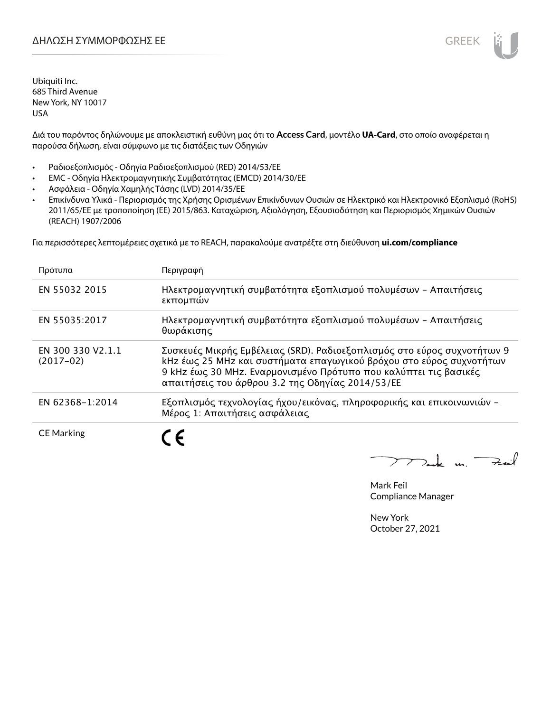Διά του παρόντος δηλώνουμε με αποκλειστική ευθύνη μας ότι το **Access Card**, μοντέλο **UA-Card**, στο οποίο αναφέρεται η παρούσα δήλωση, είναι σύμφωνο με τις διατάξεις των Οδηγιών

- Ραδιοεξοπλισμός Οδηγία Ραδιοεξοπλισμού (RED) 2014/53/ΕΕ
- EMC Οδηγία Ηλεκτρομαγνητικής Συμβατότητας (EMCD) 2014/30/ΕΕ
- Ασφάλεια Οδηγία Χαμηλής Τάσης (LVD) 2014/35/ΕΕ
- Επικίνδυνα Υλικά Περιορισμός της Χρήσης Ορισμένων Επικίνδυνων Ουσιών σε Ηλεκτρικό και Ηλεκτρονικό Εξοπλισμό (RoHS) 2011/65/ΕΕ με τροποποίηση (ΕΕ) 2015/863. Καταχώριση, Αξιολόγηση, Εξουσιοδότηση και Περιορισμός Χημικών Ουσιών (REACH) 1907/2006

Για περισσότερες λεπτομέρειες σχετικά με το REACH, παρακαλούμε ανατρέξτε στη διεύθυνση **ui.com/compliance**

| Πρότυπα                          | Περιγραφή                                                                                                                                                                                                                                                              |
|----------------------------------|------------------------------------------------------------------------------------------------------------------------------------------------------------------------------------------------------------------------------------------------------------------------|
| EN 55032 2015                    | Ηλεκτρομαγνητική συμβατότητα εξοπλισμού πολυμέσων - Απαιτήσεις<br>εκπομπών                                                                                                                                                                                             |
| EN 55035:2017                    | Ηλεκτρομαγνητική συμβατότητα εξοπλισμού πολυμέσων - Απαιτήσεις<br>θωράκισης                                                                                                                                                                                            |
| EN 300 330 V2.1.1<br>$(2017-02)$ | Συσκευές Μικρής Εμβέλειας (SRD). Ραδιοεξοπλισμός στο εύρος συχνοτήτων 9<br>kHz έως 25 MHz και συστήματα επαγωγικού βρόχου στο εύρος συχνοτήτων<br>9 kHz έως 30 MHz. Εναρμονισμένο Πρότυπο που καλύπτει τις βασικές<br>απαιτήσεις του άρθρου 3.2 της Οδηγίας 2014/53/ΕΕ |
| EN 62368-1:2014                  | Εξοπλισμός τεχνολογίας ήχου/εικόνας, πληροφορικής και επικοινωνιών -<br>Μέρος 1: Απαιτήσεις ασφάλειας                                                                                                                                                                  |
| <b>CE Marking</b>                |                                                                                                                                                                                                                                                                        |

 $772$ ak m. Fail

Mark Feil Compliance Manager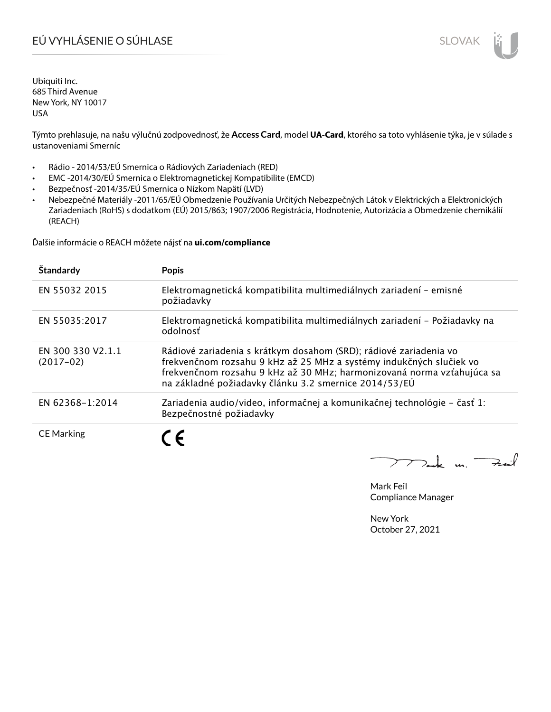# EÚ VYHLÁSENIE O SÚHLASE SLOVAK SLOVAK

Ubiquiti Inc. 685 Third Avenue New York, NY 10017 USA

Týmto prehlasuje, na našu výlučnú zodpovednosť, že **Access Card**, model **UA-Card**, ktorého sa toto vyhlásenie týka, je v súlade s ustanoveniami Smerníc

- Rádio 2014/53/EÚ Smernica o Rádiových Zariadeniach (RED)
- EMC -2014/30/EÚ Smernica o Elektromagnetickej Kompatibilite (EMCD)
- Bezpečnosť -2014/35/EÚ Smernica o Nízkom Napätí (LVD)
- Nebezpečné Materiály -2011/65/EÚ Obmedzenie Používania Určitých Nebezpečných Látok v Elektrických a Elektronických Zariadeniach (RoHS) s dodatkom (EÚ) 2015/863; 1907/2006 Registrácia, Hodnotenie, Autorizácia a Obmedzenie chemikálií (REACH)

Ďalšie informácie o REACH môžete nájsť na **ui.com/compliance**

| Štandardy                        | <b>Popis</b>                                                                                                                                                                                                                                                                |
|----------------------------------|-----------------------------------------------------------------------------------------------------------------------------------------------------------------------------------------------------------------------------------------------------------------------------|
| EN 55032 2015                    | Elektromagnetická kompatibilita multimediálnych zariadení – emisné<br>požiadavky                                                                                                                                                                                            |
| EN 55035:2017                    | Elektromagnetická kompatibilita multimediálnych zariadení – Požiadavky na<br>odolnosť                                                                                                                                                                                       |
| EN 300 330 V2.1.1<br>$(2017-02)$ | Rádiové zariadenia s krátkym dosahom (SRD); rádiové zariadenia vo<br>frekvenčnom rozsahu 9 kHz až 25 MHz a systémy indukčných slučiek vo<br>frekvenčnom rozsahu 9 kHz až 30 MHz; harmonizovaná norma vzťahujúca sa<br>na základné požiadavky článku 3.2 smernice 2014/53/EÚ |
| EN 62368-1:2014                  | Zariadenia audio/video, informačnej a komunikačnej technológie – časť 1:<br>Bezpečnostné požiadavky                                                                                                                                                                         |
| <b>CE Marking</b>                |                                                                                                                                                                                                                                                                             |

 $\nabla$ ak m. Fail

Mark Feil Compliance Manager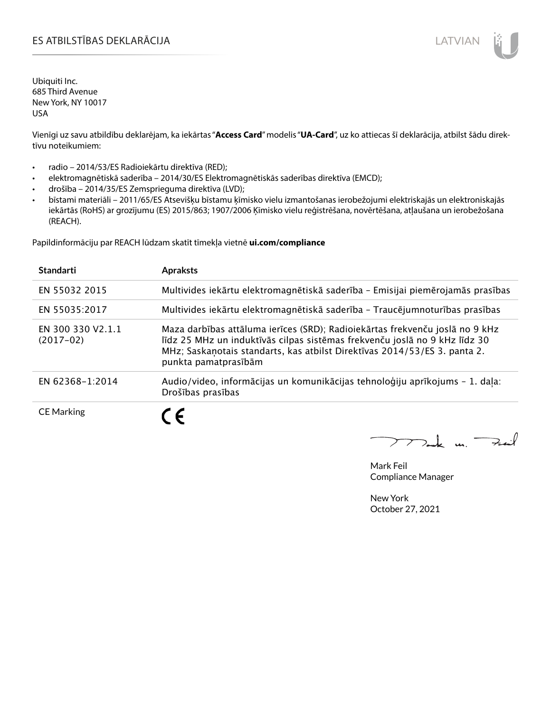# ES ATBILSTĪBAS DEKLARĀCIJA LATVIAN

Ubiquiti Inc. 685 Third Avenue New York, NY 10017 USA

Vienīgi uz savu atbildību deklarējam, ka iekārtas "**Access Card**" modelis "**UA-Card**", uz ko attiecas šī deklarācija, atbilst šādu direktīvu noteikumiem:

- radio 2014/53/ES Radioiekārtu direktīva (RED);
- elektromagnētiskā saderība 2014/30/ES Elektromagnētiskās saderības direktīva (EMCD);
- drošība 2014/35/ES Zemsprieguma direktīva (LVD);
- bīstami materiāli 2011/65/ES Atsevišķu bīstamu ķīmisko vielu izmantošanas ierobežojumi elektriskajās un elektroniskajās iekārtās (RoHS) ar grozījumu (ES) 2015/863; 1907/2006 Ķīmisko vielu reģistrēšana, novērtēšana, atļaušana un ierobežošana (REACH).

Papildinformāciju par REACH lūdzam skatīt tīmekļa vietnē **ui.com/compliance**

| <b>Standarti</b>                 | <b>Apraksts</b>                                                                                                                                                                                                                                                 |
|----------------------------------|-----------------------------------------------------------------------------------------------------------------------------------------------------------------------------------------------------------------------------------------------------------------|
| EN 55032 2015                    | Multivides iekārtu elektromagnētiskā saderība - Emisijai piemērojamās prasības                                                                                                                                                                                  |
| EN 55035:2017                    | Multivides iekārtu elektromagnētiskā saderība - Traucējumnoturības prasības                                                                                                                                                                                     |
| EN 300 330 V2.1.1<br>$(2017-02)$ | Maza darbības attāluma ierīces (SRD); Radioiekārtas frekvenču joslā no 9 kHz<br>līdz 25 MHz un induktīvās cilpas sistēmas frekvenču joslā no 9 kHz līdz 30<br>MHz; Saskaņotais standarts, kas atbilst Direktīvas 2014/53/ES 3. panta 2.<br>punkta pamatprasībām |
| EN 62368-1:2014                  | Audio/video, informācijas un komunikācijas tehnoloģiju aprīkojums - 1. daļa:<br>Drošības prasības                                                                                                                                                               |
| <b>CE Marking</b>                |                                                                                                                                                                                                                                                                 |

Mak m. Fuil

Mark Feil Compliance Manager